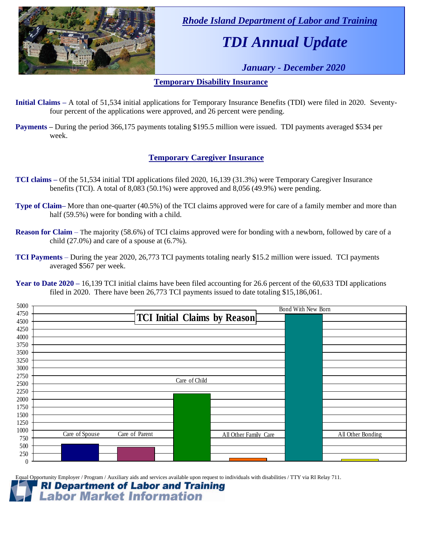

 *Rhode Island Department of Labor and Training*

# *TDI Annual Update*

 *January - December 2020*

### **Temporary Disability Insurance**

- **Initial Claims –** A total of 51,534 initial applications for Temporary Insurance Benefits (TDI) were filed in 2020. Seventyfour percent of the applications were approved, and 26 percent were pending.
- **Payments –** During the period 366,175 payments totaling \$195.5 million were issued. TDI payments averaged \$534 per week.

### **Temporary Caregiver Insurance**

- **TCI claims –** Of the 51,534 initial TDI applications filed 2020, 16,139 (31.3%) were Temporary Caregiver Insurance benefits (TCI). A total of 8,083 (50.1%) were approved and 8,056 (49.9%) were pending.
- **Type of Claim–** More than one-quarter (40.5%) of the TCI claims approved were for care of a family member and more than half (59.5%) were for bonding with a child.
- **Reason for Claim** The majority (58.6%) of TCI claims approved were for bonding with a newborn, followed by care of a child (27.0%) and care of a spouse at (6.7%).
- **TCI Payments** During the year 2020, 26,773 TCI payments totaling nearly \$15.2 million were issued. TCI payments averaged \$567 per week.

| 5000             |                                  |                              | <b>Bond With New Born</b> |                   |
|------------------|----------------------------------|------------------------------|---------------------------|-------------------|
| 4750             |                                  | TCI Initial Claims by Reason |                           |                   |
| 4500             |                                  |                              |                           |                   |
| 4250             |                                  |                              |                           |                   |
| 4000             |                                  |                              |                           |                   |
| 3750             |                                  |                              |                           |                   |
| 3500             |                                  |                              |                           |                   |
| 3250             |                                  |                              |                           |                   |
| 3000             |                                  |                              |                           |                   |
| 2750             |                                  | Care of Child                |                           |                   |
| 2500             |                                  |                              |                           |                   |
| 2250             |                                  |                              |                           |                   |
| 2000             |                                  |                              |                           |                   |
| 1750             |                                  |                              |                           |                   |
| 1500             |                                  |                              |                           |                   |
| 1250             |                                  |                              |                           |                   |
| 1000             | Care of Parent<br>Care of Spouse | All Other Family Care        |                           | All Other Bonding |
| 750              |                                  |                              |                           |                   |
| 500              |                                  |                              |                           |                   |
| 250              |                                  |                              |                           |                   |
| $\boldsymbol{0}$ |                                  |                              |                           |                   |

Equal Opportunity Employer / Program / Auxiliary aids and services available upon request to individuals with disabilities / TTY via RI Relay 711.

#### **RI Department of Labor and Training Labor Market Information**

**Year to Date 2020 –** 16,139 TCI initial claims have been filed accounting for 26.6 percent of the 60,633 TDI applications filed in 2020. There have been 26,773 TCI payments issued to date totaling \$15,186,061.